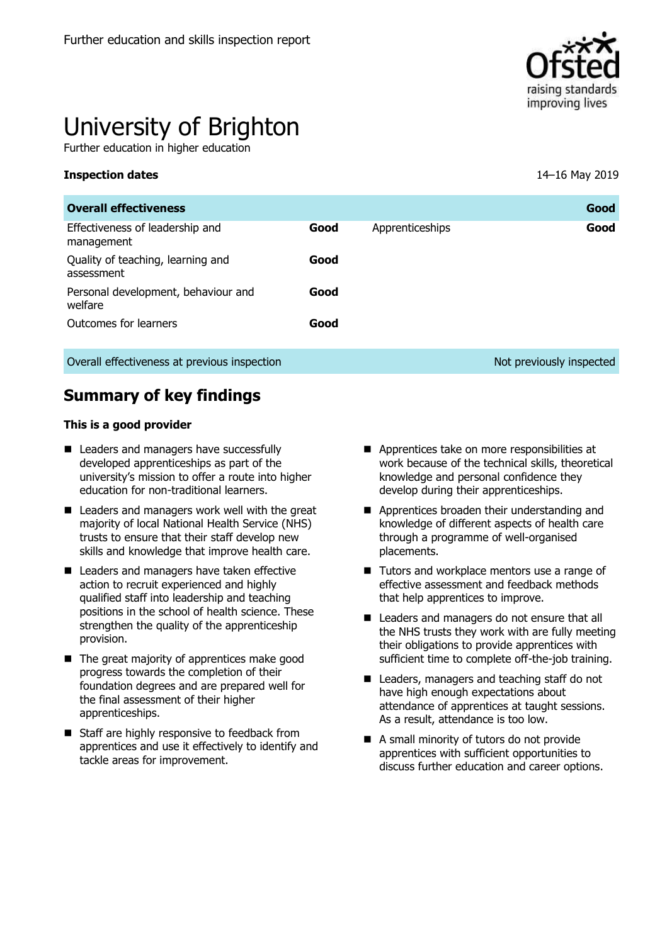

# University of Brighton

Further education in higher education

#### **Inspection dates** 14–16 May 2019

| <b>Overall effectiveness</b>                    |      |                 | Good                     |
|-------------------------------------------------|------|-----------------|--------------------------|
| Effectiveness of leadership and<br>management   | Good | Apprenticeships | Good                     |
| Quality of teaching, learning and<br>assessment | Good |                 |                          |
| Personal development, behaviour and<br>welfare  | Good |                 |                          |
| Outcomes for learners                           | Good |                 |                          |
| Overall effectiveness at previous inspection    |      |                 | Not previously inspected |

# **Summary of key findings**

#### **This is a good provider**

- Leaders and managers have successfully developed apprenticeships as part of the university's mission to offer a route into higher education for non-traditional learners.
- Leaders and managers work well with the great majority of local National Health Service (NHS) trusts to ensure that their staff develop new skills and knowledge that improve health care.
- Leaders and managers have taken effective action to recruit experienced and highly qualified staff into leadership and teaching positions in the school of health science. These strengthen the quality of the apprenticeship provision.
- $\blacksquare$  The great majority of apprentices make good progress towards the completion of their foundation degrees and are prepared well for the final assessment of their higher apprenticeships.
- Staff are highly responsive to feedback from apprentices and use it effectively to identify and tackle areas for improvement.
- Apprentices take on more responsibilities at work because of the technical skills, theoretical knowledge and personal confidence they develop during their apprenticeships.
- **Apprentices broaden their understanding and** knowledge of different aspects of health care through a programme of well-organised placements.
- Tutors and workplace mentors use a range of effective assessment and feedback methods that help apprentices to improve.
- Leaders and managers do not ensure that all the NHS trusts they work with are fully meeting their obligations to provide apprentices with sufficient time to complete off-the-job training.
- Leaders, managers and teaching staff do not have high enough expectations about attendance of apprentices at taught sessions. As a result, attendance is too low.
- A small minority of tutors do not provide apprentices with sufficient opportunities to discuss further education and career options.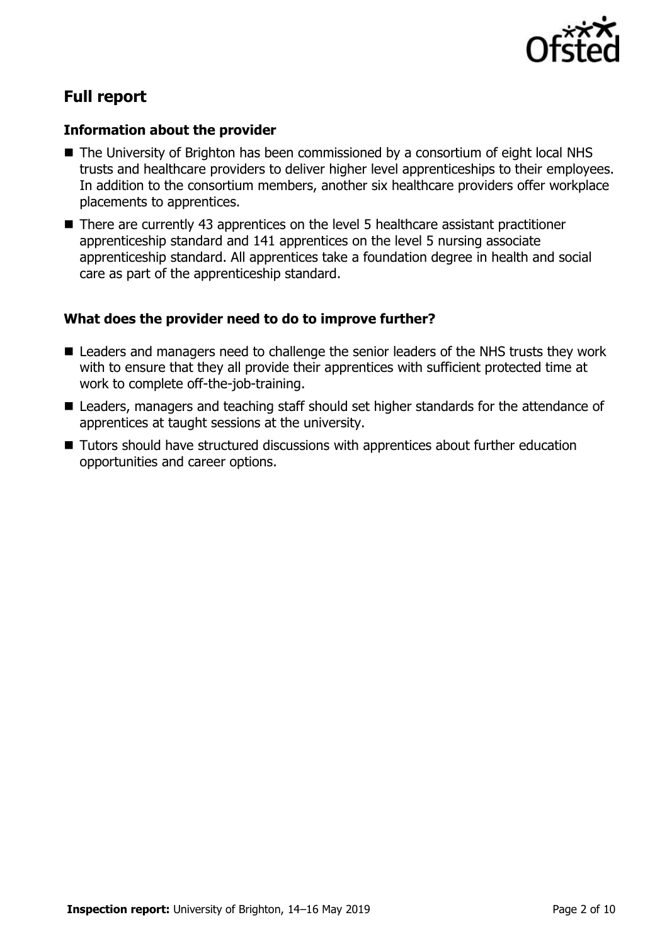

# **Full report**

#### **Information about the provider**

- The University of Brighton has been commissioned by a consortium of eight local NHS trusts and healthcare providers to deliver higher level apprenticeships to their employees. In addition to the consortium members, another six healthcare providers offer workplace placements to apprentices.
- There are currently 43 apprentices on the level 5 healthcare assistant practitioner apprenticeship standard and 141 apprentices on the level 5 nursing associate apprenticeship standard. All apprentices take a foundation degree in health and social care as part of the apprenticeship standard.

#### **What does the provider need to do to improve further?**

- Leaders and managers need to challenge the senior leaders of the NHS trusts they work with to ensure that they all provide their apprentices with sufficient protected time at work to complete off-the-job-training.
- Leaders, managers and teaching staff should set higher standards for the attendance of apprentices at taught sessions at the university.
- Tutors should have structured discussions with apprentices about further education opportunities and career options.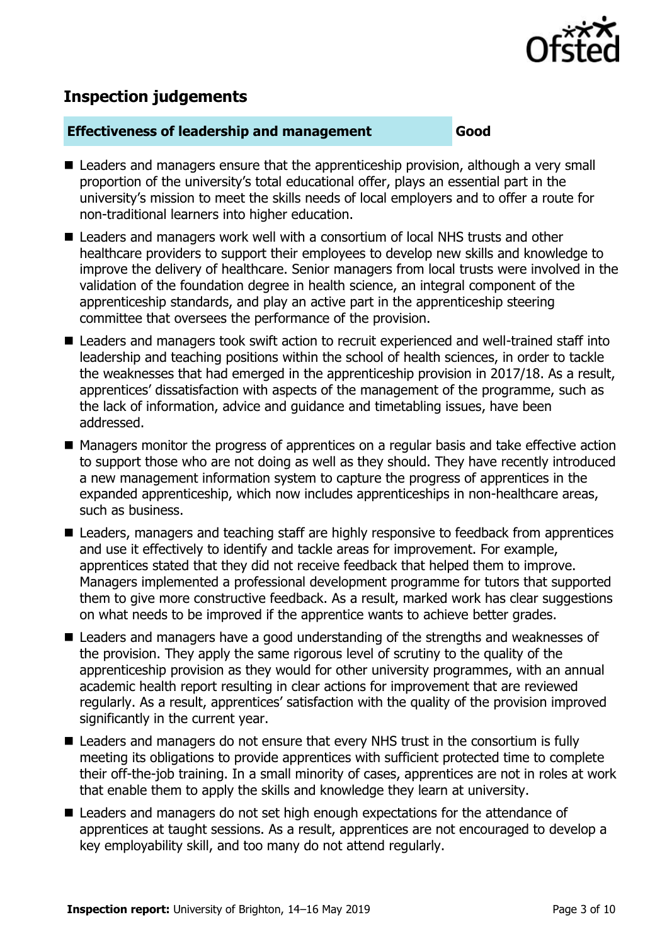

# **Inspection judgements**

#### **Effectiveness of leadership and management Good**

- Leaders and managers ensure that the apprenticeship provision, although a very small proportion of the university's total educational offer, plays an essential part in the university's mission to meet the skills needs of local employers and to offer a route for non-traditional learners into higher education.
- Leaders and managers work well with a consortium of local NHS trusts and other healthcare providers to support their employees to develop new skills and knowledge to improve the delivery of healthcare. Senior managers from local trusts were involved in the validation of the foundation degree in health science, an integral component of the apprenticeship standards, and play an active part in the apprenticeship steering committee that oversees the performance of the provision.
- Leaders and managers took swift action to recruit experienced and well-trained staff into leadership and teaching positions within the school of health sciences, in order to tackle the weaknesses that had emerged in the apprenticeship provision in 2017/18. As a result, apprentices' dissatisfaction with aspects of the management of the programme, such as the lack of information, advice and guidance and timetabling issues, have been addressed.
- Managers monitor the progress of apprentices on a regular basis and take effective action to support those who are not doing as well as they should. They have recently introduced a new management information system to capture the progress of apprentices in the expanded apprenticeship, which now includes apprenticeships in non-healthcare areas, such as business.
- Leaders, managers and teaching staff are highly responsive to feedback from apprentices and use it effectively to identify and tackle areas for improvement. For example, apprentices stated that they did not receive feedback that helped them to improve. Managers implemented a professional development programme for tutors that supported them to give more constructive feedback. As a result, marked work has clear suggestions on what needs to be improved if the apprentice wants to achieve better grades.
- Leaders and managers have a good understanding of the strengths and weaknesses of the provision. They apply the same rigorous level of scrutiny to the quality of the apprenticeship provision as they would for other university programmes, with an annual academic health report resulting in clear actions for improvement that are reviewed regularly. As a result, apprentices' satisfaction with the quality of the provision improved significantly in the current year.
- Leaders and managers do not ensure that every NHS trust in the consortium is fully meeting its obligations to provide apprentices with sufficient protected time to complete their off-the-job training. In a small minority of cases, apprentices are not in roles at work that enable them to apply the skills and knowledge they learn at university.
- Leaders and managers do not set high enough expectations for the attendance of apprentices at taught sessions. As a result, apprentices are not encouraged to develop a key employability skill, and too many do not attend regularly.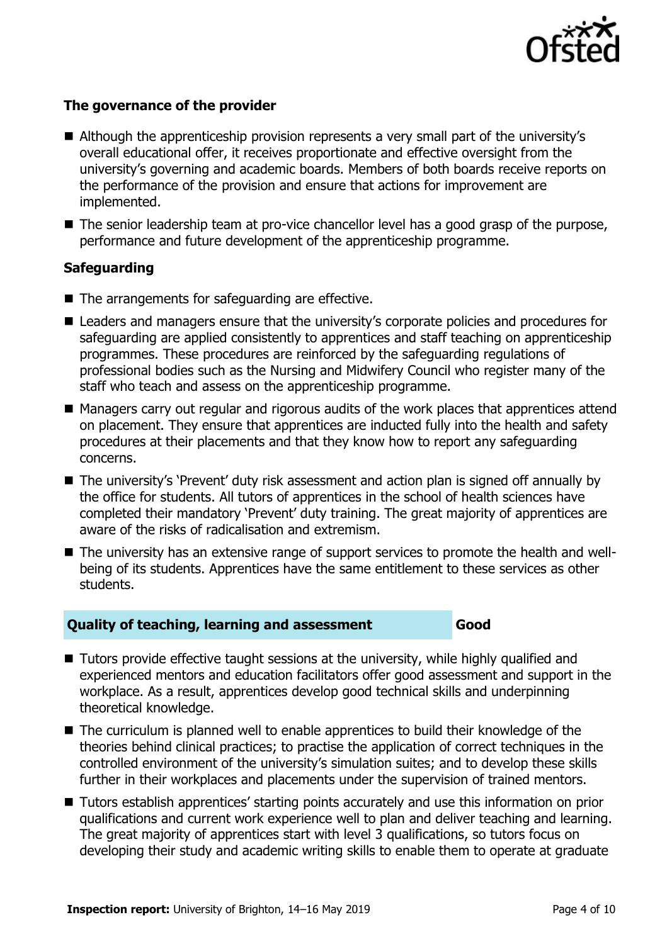

### **The governance of the provider**

- Although the apprenticeship provision represents a very small part of the university's overall educational offer, it receives proportionate and effective oversight from the university's governing and academic boards. Members of both boards receive reports on the performance of the provision and ensure that actions for improvement are implemented.
- The senior leadership team at pro-vice chancellor level has a good grasp of the purpose, performance and future development of the apprenticeship programme.

#### **Safeguarding**

- The arrangements for safeguarding are effective.
- Leaders and managers ensure that the university's corporate policies and procedures for safeguarding are applied consistently to apprentices and staff teaching on apprenticeship programmes. These procedures are reinforced by the safeguarding regulations of professional bodies such as the Nursing and Midwifery Council who register many of the staff who teach and assess on the apprenticeship programme.
- Managers carry out regular and rigorous audits of the work places that apprentices attend on placement. They ensure that apprentices are inducted fully into the health and safety procedures at their placements and that they know how to report any safeguarding concerns.
- The university's 'Prevent' duty risk assessment and action plan is signed off annually by the office for students. All tutors of apprentices in the school of health sciences have completed their mandatory 'Prevent' duty training. The great majority of apprentices are aware of the risks of radicalisation and extremism.
- The university has an extensive range of support services to promote the health and wellbeing of its students. Apprentices have the same entitlement to these services as other students.

#### **Quality of teaching, learning and assessment Good**

- Tutors provide effective taught sessions at the university, while highly qualified and experienced mentors and education facilitators offer good assessment and support in the workplace. As a result, apprentices develop good technical skills and underpinning theoretical knowledge.
- The curriculum is planned well to enable apprentices to build their knowledge of the theories behind clinical practices; to practise the application of correct techniques in the controlled environment of the university's simulation suites; and to develop these skills further in their workplaces and placements under the supervision of trained mentors.
- Tutors establish apprentices' starting points accurately and use this information on prior qualifications and current work experience well to plan and deliver teaching and learning. The great majority of apprentices start with level 3 qualifications, so tutors focus on developing their study and academic writing skills to enable them to operate at graduate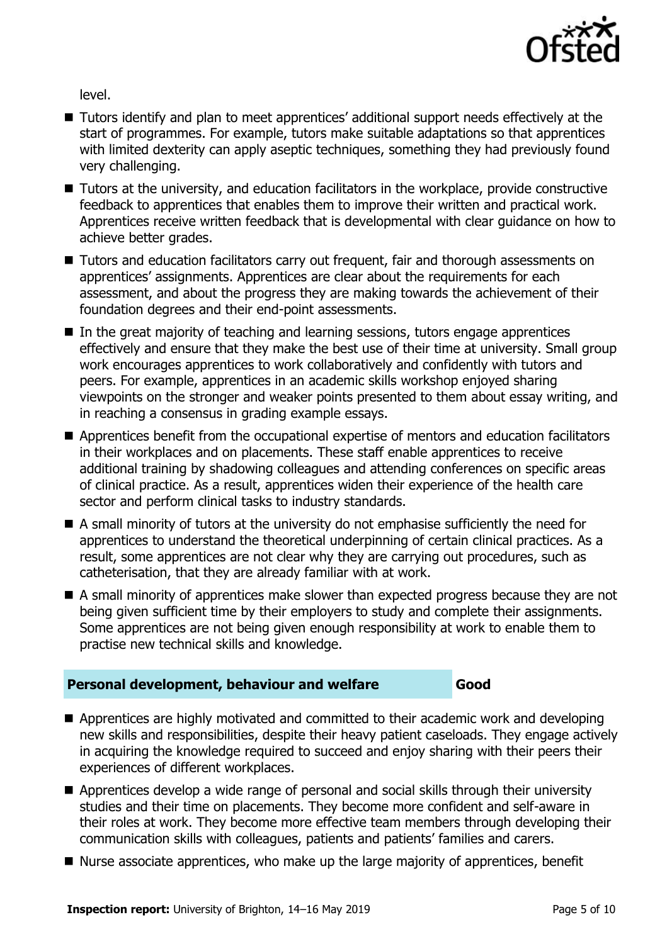

level.

- Tutors identify and plan to meet apprentices' additional support needs effectively at the start of programmes. For example, tutors make suitable adaptations so that apprentices with limited dexterity can apply aseptic techniques, something they had previously found very challenging.
- Tutors at the university, and education facilitators in the workplace, provide constructive feedback to apprentices that enables them to improve their written and practical work. Apprentices receive written feedback that is developmental with clear guidance on how to achieve better grades.
- Tutors and education facilitators carry out frequent, fair and thorough assessments on apprentices' assignments. Apprentices are clear about the requirements for each assessment, and about the progress they are making towards the achievement of their foundation degrees and their end-point assessments.
- In the great majority of teaching and learning sessions, tutors engage apprentices effectively and ensure that they make the best use of their time at university. Small group work encourages apprentices to work collaboratively and confidently with tutors and peers. For example, apprentices in an academic skills workshop enjoyed sharing viewpoints on the stronger and weaker points presented to them about essay writing, and in reaching a consensus in grading example essays.
- Apprentices benefit from the occupational expertise of mentors and education facilitators in their workplaces and on placements. These staff enable apprentices to receive additional training by shadowing colleagues and attending conferences on specific areas of clinical practice. As a result, apprentices widen their experience of the health care sector and perform clinical tasks to industry standards.
- A small minority of tutors at the university do not emphasise sufficiently the need for apprentices to understand the theoretical underpinning of certain clinical practices. As a result, some apprentices are not clear why they are carrying out procedures, such as catheterisation, that they are already familiar with at work.
- A small minority of apprentices make slower than expected progress because they are not being given sufficient time by their employers to study and complete their assignments. Some apprentices are not being given enough responsibility at work to enable them to practise new technical skills and knowledge.

#### **Personal development, behaviour and welfare Good**

- Apprentices are highly motivated and committed to their academic work and developing new skills and responsibilities, despite their heavy patient caseloads. They engage actively in acquiring the knowledge required to succeed and enjoy sharing with their peers their experiences of different workplaces.
- Apprentices develop a wide range of personal and social skills through their university studies and their time on placements. They become more confident and self-aware in their roles at work. They become more effective team members through developing their communication skills with colleagues, patients and patients' families and carers.
- $\blacksquare$  Nurse associate apprentices, who make up the large majority of apprentices, benefit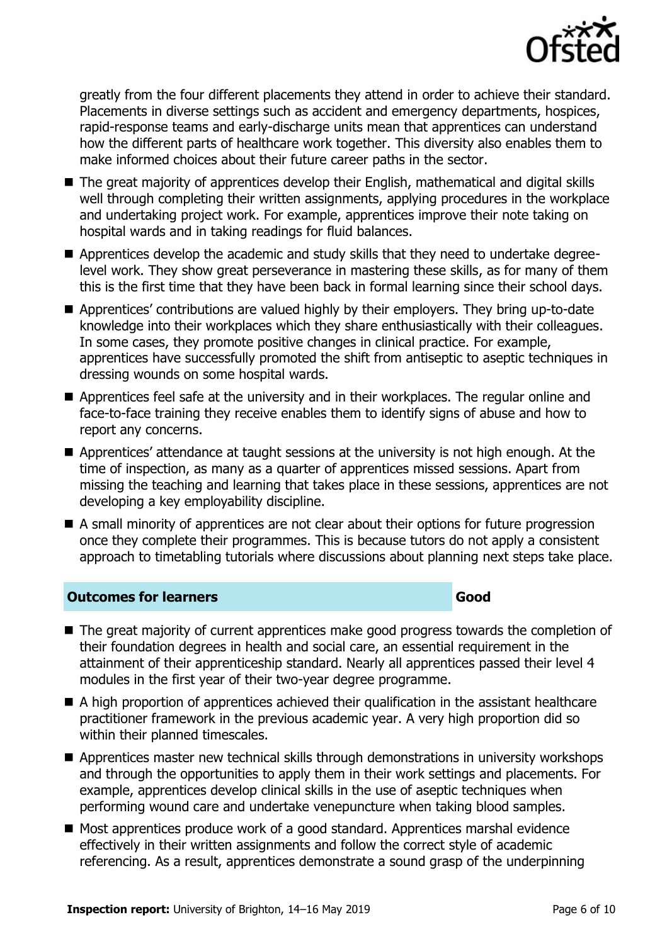

greatly from the four different placements they attend in order to achieve their standard. Placements in diverse settings such as accident and emergency departments, hospices, rapid-response teams and early-discharge units mean that apprentices can understand how the different parts of healthcare work together. This diversity also enables them to make informed choices about their future career paths in the sector.

- The great majority of apprentices develop their English, mathematical and digital skills well through completing their written assignments, applying procedures in the workplace and undertaking project work. For example, apprentices improve their note taking on hospital wards and in taking readings for fluid balances.
- Apprentices develop the academic and study skills that they need to undertake degreelevel work. They show great perseverance in mastering these skills, as for many of them this is the first time that they have been back in formal learning since their school days.
- Apprentices' contributions are valued highly by their employers. They bring up-to-date knowledge into their workplaces which they share enthusiastically with their colleagues. In some cases, they promote positive changes in clinical practice. For example, apprentices have successfully promoted the shift from antiseptic to aseptic techniques in dressing wounds on some hospital wards.
- Apprentices feel safe at the university and in their workplaces. The regular online and face-to-face training they receive enables them to identify signs of abuse and how to report any concerns.
- Apprentices' attendance at taught sessions at the university is not high enough. At the time of inspection, as many as a quarter of apprentices missed sessions. Apart from missing the teaching and learning that takes place in these sessions, apprentices are not developing a key employability discipline.
- A small minority of apprentices are not clear about their options for future progression once they complete their programmes. This is because tutors do not apply a consistent approach to timetabling tutorials where discussions about planning next steps take place.

#### **Outcomes for learners Good**

- The great majority of current apprentices make good progress towards the completion of their foundation degrees in health and social care, an essential requirement in the attainment of their apprenticeship standard. Nearly all apprentices passed their level 4 modules in the first year of their two-year degree programme.
- A high proportion of apprentices achieved their qualification in the assistant healthcare practitioner framework in the previous academic year. A very high proportion did so within their planned timescales.
- Apprentices master new technical skills through demonstrations in university workshops and through the opportunities to apply them in their work settings and placements. For example, apprentices develop clinical skills in the use of aseptic techniques when performing wound care and undertake venepuncture when taking blood samples.
- Most apprentices produce work of a good standard. Apprentices marshal evidence effectively in their written assignments and follow the correct style of academic referencing. As a result, apprentices demonstrate a sound grasp of the underpinning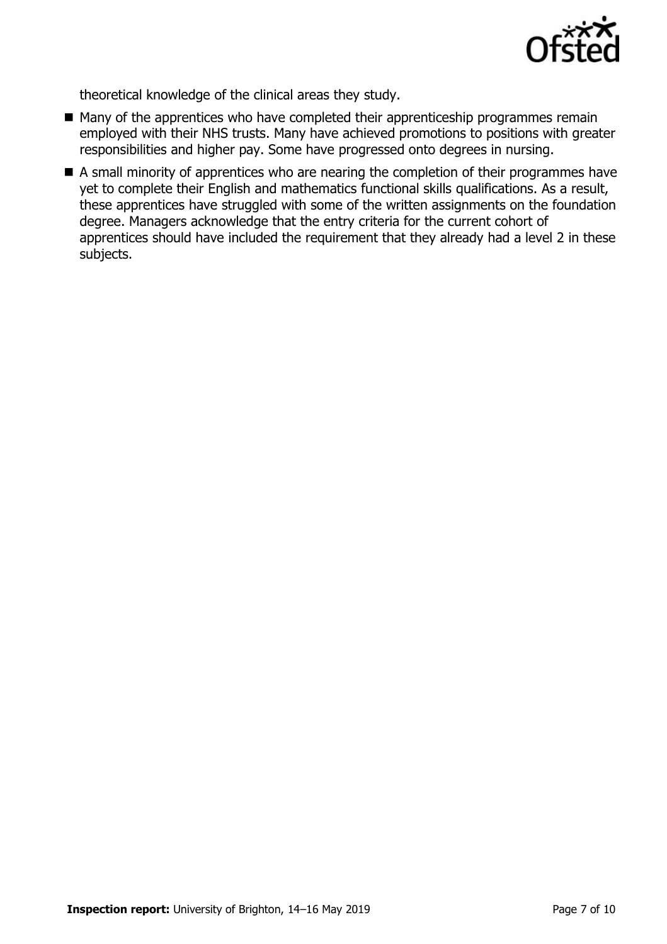

theoretical knowledge of the clinical areas they study.

- $\blacksquare$  Many of the apprentices who have completed their apprenticeship programmes remain employed with their NHS trusts. Many have achieved promotions to positions with greater responsibilities and higher pay. Some have progressed onto degrees in nursing.
- A small minority of apprentices who are nearing the completion of their programmes have yet to complete their English and mathematics functional skills qualifications. As a result, these apprentices have struggled with some of the written assignments on the foundation degree. Managers acknowledge that the entry criteria for the current cohort of apprentices should have included the requirement that they already had a level 2 in these subjects.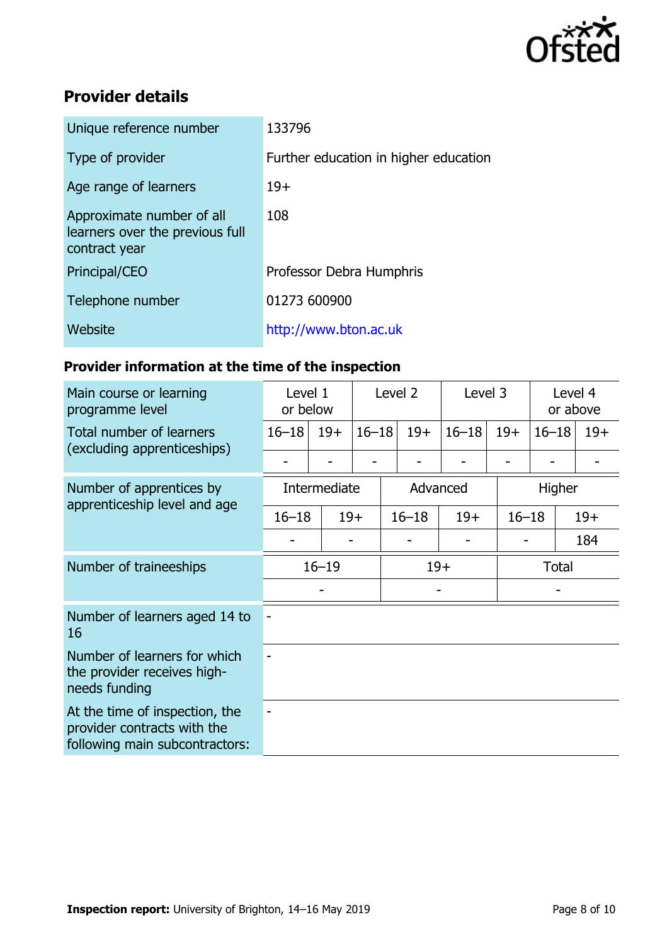

# **Provider details**

| Unique reference number                                                       | 133796                                |
|-------------------------------------------------------------------------------|---------------------------------------|
| Type of provider                                                              | Further education in higher education |
| Age range of learners                                                         | $19+$                                 |
| Approximate number of all<br>learners over the previous full<br>contract year | 108                                   |
| Principal/CEO                                                                 | Professor Debra Humphris              |
| Telephone number                                                              | 01273 600900                          |
| Website                                                                       | http://www.bton.ac.uk                 |

## **Provider information at the time of the inspection**

| Main course or learning<br>programme level                                                      | Level 1<br>or below |          |           | Level 2   |        | Level 3   |           | Level 4<br>or above |       |
|-------------------------------------------------------------------------------------------------|---------------------|----------|-----------|-----------|--------|-----------|-----------|---------------------|-------|
| Total number of learners                                                                        | $16 - 18$           | $19+$    | $16 - 18$ |           | $19+$  | $16 - 18$ | $19+$     | $16 - 18$           | $19+$ |
| (excluding apprenticeships)                                                                     |                     |          |           |           |        |           |           |                     |       |
| Number of apprentices by<br>apprenticeship level and age                                        | Intermediate        | Advanced |           |           | Higher |           |           |                     |       |
|                                                                                                 | $16 - 18$           |          | $19+$     | $16 - 18$ |        | $19+$     | $16 - 18$ |                     | $19+$ |
|                                                                                                 |                     |          |           |           |        |           |           |                     |       |
| Number of traineeships                                                                          | $16 - 19$           |          |           | $19+$     |        |           | Total     |                     |       |
|                                                                                                 |                     |          |           |           |        |           |           |                     |       |
| Number of learners aged 14 to<br>16                                                             |                     |          |           |           |        |           |           |                     |       |
| Number of learners for which<br>the provider receives high-<br>needs funding                    |                     |          |           |           |        |           |           |                     |       |
| At the time of inspection, the<br>provider contracts with the<br>following main subcontractors: |                     |          |           |           |        |           |           |                     |       |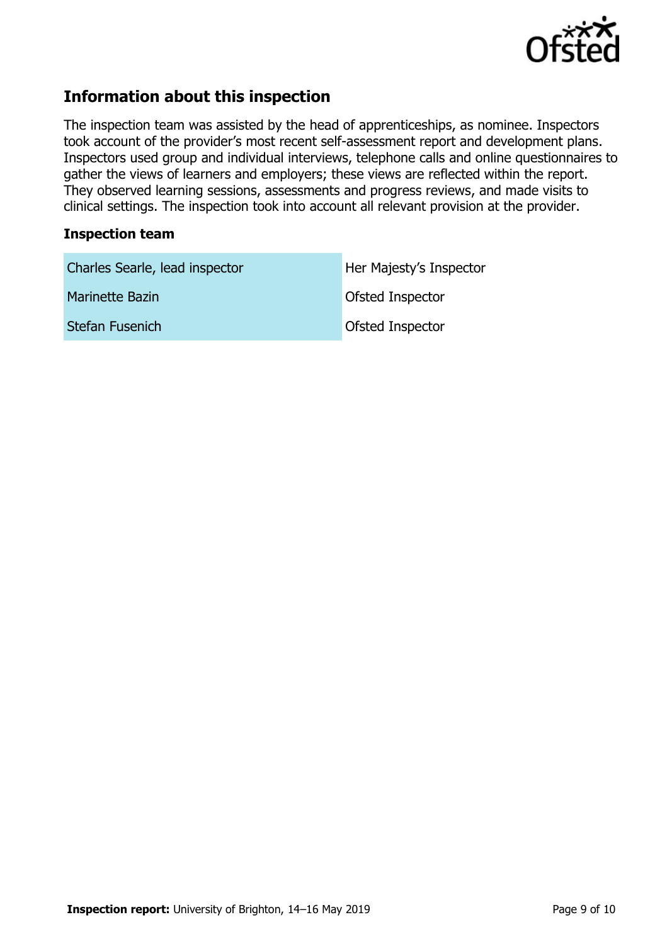

# **Information about this inspection**

The inspection team was assisted by the head of apprenticeships, as nominee. Inspectors took account of the provider's most recent self-assessment report and development plans. Inspectors used group and individual interviews, telephone calls and online questionnaires to gather the views of learners and employers; these views are reflected within the report. They observed learning sessions, assessments and progress reviews, and made visits to clinical settings. The inspection took into account all relevant provision at the provider.

#### **Inspection team**

| Charles Searle, lead inspector | Her Majesty's Inspector |
|--------------------------------|-------------------------|
| <b>Marinette Bazin</b>         | <b>Ofsted Inspector</b> |
| Stefan Fusenich                | <b>Ofsted Inspector</b> |